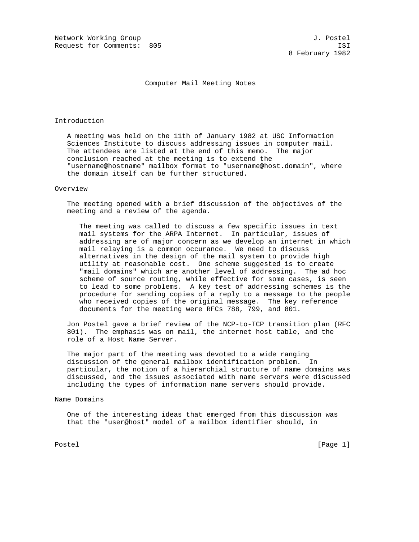Network Working Group and Society and Society and Society and Society and J. Postel Request for Comments: 805 ISI

## Computer Mail Meeting Notes

### Introduction

 A meeting was held on the 11th of January 1982 at USC Information Sciences Institute to discuss addressing issues in computer mail. The attendees are listed at the end of this memo. The major conclusion reached at the meeting is to extend the "username@hostname" mailbox format to "username@host.domain", where the domain itself can be further structured.

### Overview

 The meeting opened with a brief discussion of the objectives of the meeting and a review of the agenda.

 The meeting was called to discuss a few specific issues in text mail systems for the ARPA Internet. In particular, issues of addressing are of major concern as we develop an internet in which mail relaying is a common occurance. We need to discuss alternatives in the design of the mail system to provide high utility at reasonable cost. One scheme suggested is to create "mail domains" which are another level of addressing. The ad hoc scheme of source routing, while effective for some cases, is seen to lead to some problems. A key test of addressing schemes is the procedure for sending copies of a reply to a message to the people who received copies of the original message. The key reference documents for the meeting were RFCs 788, 799, and 801.

 Jon Postel gave a brief review of the NCP-to-TCP transition plan (RFC 801). The emphasis was on mail, the internet host table, and the role of a Host Name Server.

 The major part of the meeting was devoted to a wide ranging discussion of the general mailbox identification problem. In particular, the notion of a hierarchial structure of name domains was discussed, and the issues associated with name servers were discussed including the types of information name servers should provide.

# Name Domains

 One of the interesting ideas that emerged from this discussion was that the "user@host" model of a mailbox identifier should, in

Postel [Page 1] [Page 1]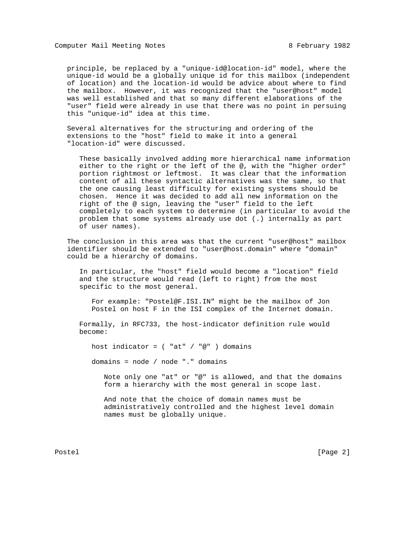Computer Mail Meeting Notes 8 February 1982

 principle, be replaced by a "unique-id@location-id" model, where the unique-id would be a globally unique id for this mailbox (independent of location) and the location-id would be advice about where to find the mailbox. However, it was recognized that the "user@host" model was well established and that so many different elaborations of the "user" field were already in use that there was no point in persuing this "unique-id" idea at this time.

 Several alternatives for the structuring and ordering of the extensions to the "host" field to make it into a general "location-id" were discussed.

 These basically involved adding more hierarchical name information either to the right or the left of the @, with the "higher order" portion rightmost or leftmost. It was clear that the information content of all these syntactic alternatives was the same, so that the one causing least difficulty for existing systems should be chosen. Hence it was decided to add all new information on the right of the @ sign, leaving the "user" field to the left completely to each system to determine (in particular to avoid the problem that some systems already use dot (.) internally as part of user names).

 The conclusion in this area was that the current "user@host" mailbox identifier should be extended to "user@host.domain" where "domain" could be a hierarchy of domains.

 In particular, the "host" field would become a "location" field and the structure would read (left to right) from the most specific to the most general.

 For example: "Postel@F.ISI.IN" might be the mailbox of Jon Postel on host F in the ISI complex of the Internet domain.

 Formally, in RFC733, the host-indicator definition rule would become:

host indicator =  $($  "at"  $/$  "@"  $)$  domains

domains = node / node "." domains

 Note only one "at" or "@" is allowed, and that the domains form a hierarchy with the most general in scope last.

 And note that the choice of domain names must be administratively controlled and the highest level domain names must be globally unique.

Postel [Page 2]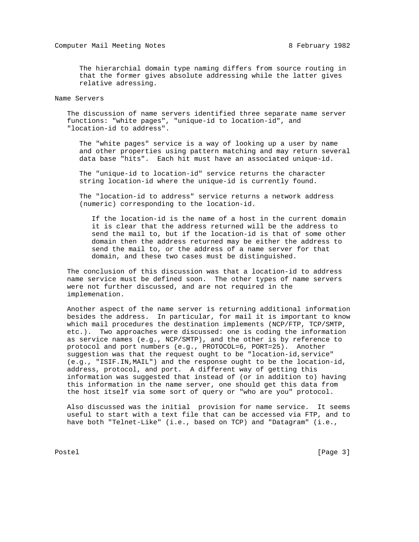The hierarchial domain type naming differs from source routing in that the former gives absolute addressing while the latter gives relative adressing.

## Name Servers

 The discussion of name servers identified three separate name server functions: "white pages", "unique-id to location-id", and "location-id to address".

 The "white pages" service is a way of looking up a user by name and other properties using pattern matching and may return several data base "hits". Each hit must have an associated unique-id.

 The "unique-id to location-id" service returns the character string location-id where the unique-id is currently found.

 The "location-id to address" service returns a network address (numeric) corresponding to the location-id.

 If the location-id is the name of a host in the current domain it is clear that the address returned will be the address to send the mail to, but if the location-id is that of some other domain then the address returned may be either the address to send the mail to, or the address of a name server for that domain, and these two cases must be distinguished.

 The conclusion of this discussion was that a location-id to address name service must be defined soon. The other types of name servers were not further discussed, and are not required in the implemenation.

 Another aspect of the name server is returning additional information besides the address. In particular, for mail it is important to know which mail procedures the destination implements (NCP/FTP, TCP/SMTP, etc.). Two approaches were discussed: one is coding the information as service names (e.g., NCP/SMTP), and the other is by reference to protocol and port numbers (e.g., PROTOCOL=6, PORT=25). Another suggestion was that the request ought to be "location-id,service" (e.g., "ISIF.IN,MAIL") and the response ought to be the location-id, address, protocol, and port. A different way of getting this information was suggested that instead of (or in addition to) having this information in the name server, one should get this data from the host itself via some sort of query or "who are you" protocol.

 Also discussed was the initial provision for name service. It seems useful to start with a text file that can be accessed via FTP, and to have both "Telnet-Like" (i.e., based on TCP) and "Datagram" (i.e.,

Postel [Page 3]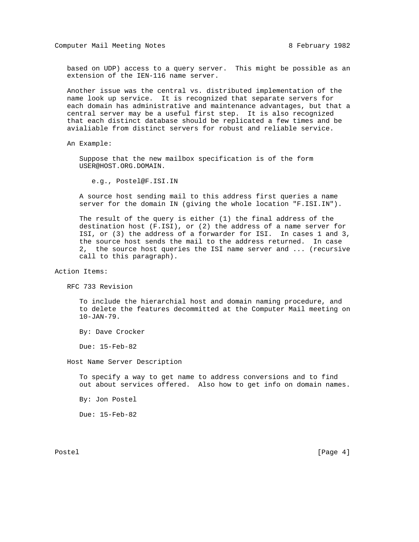based on UDP) access to a query server. This might be possible as an extension of the IEN-116 name server.

 Another issue was the central vs. distributed implementation of the name look up service. It is recognized that separate servers for each domain has administrative and maintenance advantages, but that a central server may be a useful first step. It is also recognized that each distinct database should be replicated a few times and be avialiable from distinct servers for robust and reliable service.

An Example:

 Suppose that the new mailbox specification is of the form USER@HOST.ORG.DOMAIN.

e.g., Postel@F.ISI.IN

 A source host sending mail to this address first queries a name server for the domain IN (giving the whole location "F.ISI.IN").

 The result of the query is either (1) the final address of the destination host (F.ISI), or (2) the address of a name server for ISI, or (3) the address of a forwarder for ISI. In cases 1 and 3, the source host sends the mail to the address returned. In case 2, the source host queries the ISI name server and ... (recursive call to this paragraph).

Action Items:

RFC 733 Revision

 To include the hierarchial host and domain naming procedure, and to delete the features decommitted at the Computer Mail meeting on 10-JAN-79.

By: Dave Crocker

Due: 15-Feb-82

Host Name Server Description

 To specify a way to get name to address conversions and to find out about services offered. Also how to get info on domain names.

By: Jon Postel

Due: 15-Feb-82

Postel [Page 4]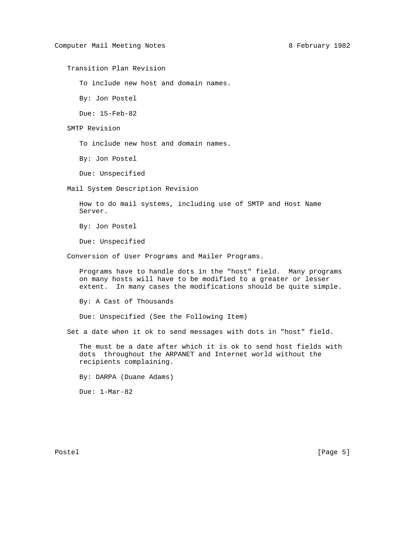Transition Plan Revision

To include new host and domain names.

By: Jon Postel

Due: 15-Feb-82

SMTP Revision

To include new host and domain names.

By: Jon Postel

Due: Unspecified

Mail System Description Revision

 How to do mail systems, including use of SMTP and Host Name Server.

By: Jon Postel

Due: Unspecified

Conversion of User Programs and Mailer Programs.

 Programs have to handle dots in the "host" field. Many programs on many hosts will have to be modified to a greater or lesser extent. In many cases the modifications should be quite simple.

By: A Cast of Thousands

Due: Unspecified (See the Following Item)

Set a date when it ok to send messages with dots in "host" field.

 The must be a date after which it is ok to send host fields with dots throughout the ARPANET and Internet world without the recipients complaining.

By: DARPA (Duane Adams)

Due: 1-Mar-82

Postel [Page 5]